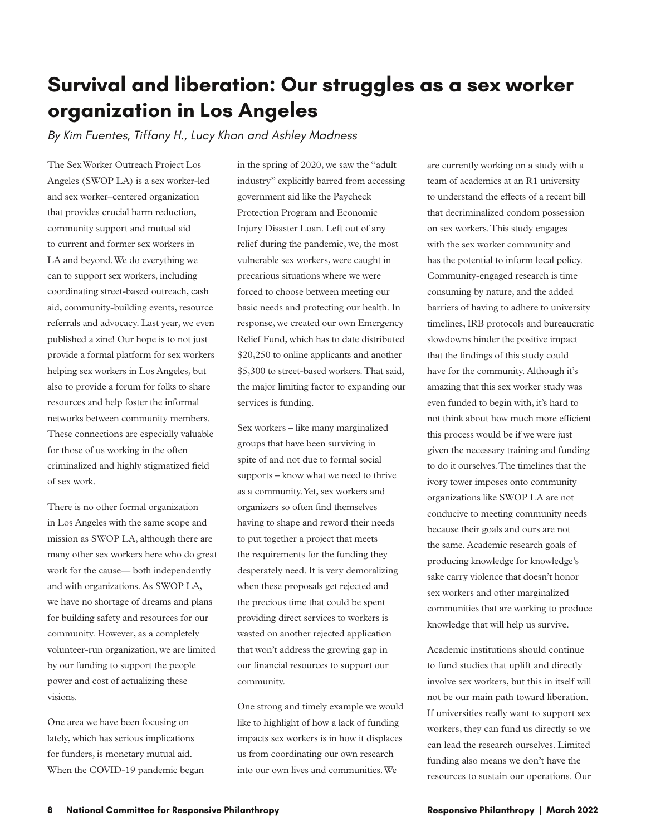## **Survival and liberation: Our struggles as a sex worker organization in Los Angeles**

*By Kim Fuentes, Tiffany H., Lucy Khan and Ashley Madness*

The Sex Worker Outreach Project Los Angeles (SWOP LA) is a sex worker-led and sex worker–centered organization that provides crucial harm reduction, community support and mutual aid to current and former sex workers in LA and beyond. We do everything we can to support sex workers, including coordinating street-based outreach, cash aid, community-building events, resource referrals and advocacy. Last year, we even published a zine! Our hope is to not just provide a formal platform for sex workers helping sex workers in Los Angeles, but also to provide a forum for folks to share resources and help foster the informal networks between community members. These connections are especially valuable for those of us working in the often criminalized and highly stigmatized field of sex work.

There is no other formal organization in Los Angeles with the same scope and mission as SWOP LA, although there are many other sex workers here who do great work for the cause— both independently and with organizations. As SWOP LA, we have no shortage of dreams and plans for building safety and resources for our community. However, as a completely volunteer-run organization, we are limited by our funding to support the people power and cost of actualizing these visions.

One area we have been focusing on lately, which has serious implications for funders, is monetary mutual aid. When the COVID-19 pandemic began in the spring of 2020, we saw the "adult industry" explicitly barred from accessing government aid like the Paycheck Protection Program and Economic Injury Disaster Loan. Left out of any relief during the pandemic, we, the most vulnerable sex workers, were caught in precarious situations where we were forced to choose between meeting our basic needs and protecting our health. In response, we created our own Emergency Relief Fund, which has to date distributed \$20,250 to online applicants and another \$5,300 to street-based workers. That said, the major limiting factor to expanding our services is funding.

Sex workers – like many marginalized groups that have been surviving in spite of and not due to formal social supports – know what we need to thrive as a community. Yet, sex workers and organizers so often find themselves having to shape and reword their needs to put together a project that meets the requirements for the funding they desperately need. It is very demoralizing when these proposals get rejected and the precious time that could be spent providing direct services to workers is wasted on another rejected application that won't address the growing gap in our financial resources to support our community.

One strong and timely example we would like to highlight of how a lack of funding impacts sex workers is in how it displaces us from coordinating our own research into our own lives and communities. We

are currently working on a study with a team of academics at an R1 university to understand the effects of a recent bill that decriminalized condom possession on sex workers. This study engages with the sex worker community and has the potential to inform local policy. Community-engaged research is time consuming by nature, and the added barriers of having to adhere to university timelines, IRB protocols and bureaucratic slowdowns hinder the positive impact that the findings of this study could have for the community. Although it's amazing that this sex worker study was even funded to begin with, it's hard to not think about how much more efficient this process would be if we were just given the necessary training and funding to do it ourselves. The timelines that the ivory tower imposes onto community organizations like SWOP LA are not conducive to meeting community needs because their goals and ours are not the same. Academic research goals of producing knowledge for knowledge's sake carry violence that doesn't honor sex workers and other marginalized communities that are working to produce knowledge that will help us survive.

Academic institutions should continue to fund studies that uplift and directly involve sex workers, but this in itself will not be our main path toward liberation. If universities really want to support sex workers, they can fund us directly so we can lead the research ourselves. Limited funding also means we don't have the resources to sustain our operations. Our